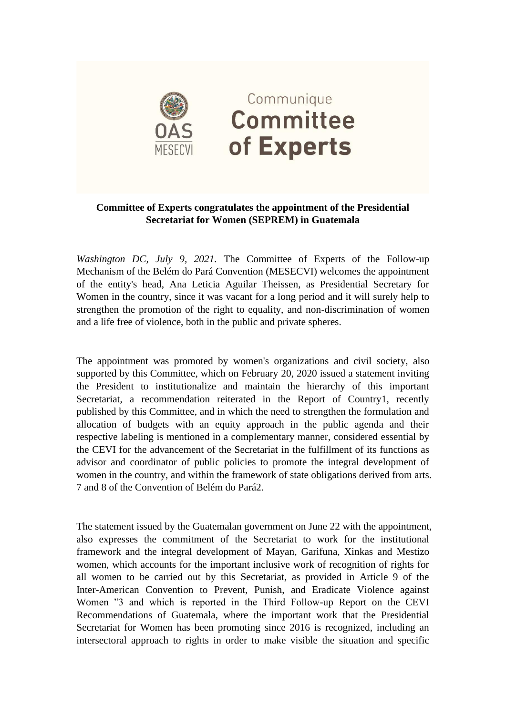

## **Committee of Experts congratulates the appointment of the Presidential Secretariat for Women (SEPREM) in Guatemala**

*Washington DC, July 9, 2021.* The Committee of Experts of the Follow-up Mechanism of the Belém do Pará Convention (MESECVI) welcomes the appointment of the entity's head, Ana Leticia Aguilar Theissen, as Presidential Secretary for Women in the country, since it was vacant for a long period and it will surely help to strengthen the promotion of the right to equality, and non-discrimination of women and a life free of violence, both in the public and private spheres.

The appointment was promoted by women's organizations and civil society, also supported by this Committee, which on February 20, 2020 issued a statement inviting the President to institutionalize and maintain the hierarchy of this important Secretariat, a recommendation reiterated in the Report of Country1, recently published by this Committee, and in which the need to strengthen the formulation and allocation of budgets with an equity approach in the public agenda and their respective labeling is mentioned in a complementary manner, considered essential by the CEVI for the advancement of the Secretariat in the fulfillment of its functions as advisor and coordinator of public policies to promote the integral development of women in the country, and within the framework of state obligations derived from arts. 7 and 8 of the Convention of Belém do Pará2.

The statement issued by the Guatemalan government on June 22 with the appointment, also expresses the commitment of the Secretariat to work for the institutional framework and the integral development of Mayan, Garifuna, Xinkas and Mestizo women, which accounts for the important inclusive work of recognition of rights for all women to be carried out by this Secretariat, as provided in Article 9 of the Inter-American Convention to Prevent, Punish, and Eradicate Violence against Women "3 and which is reported in the Third Follow-up Report on the CEVI Recommendations of Guatemala, where the important work that the Presidential Secretariat for Women has been promoting since 2016 is recognized, including an intersectoral approach to rights in order to make visible the situation and specific